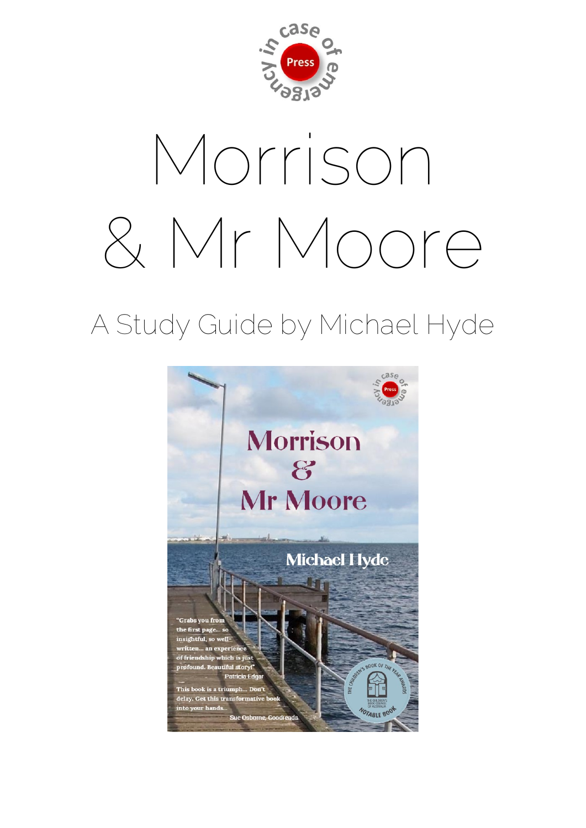

# Morrison & Mr Moore

# A Study Guide by Michael Hyde

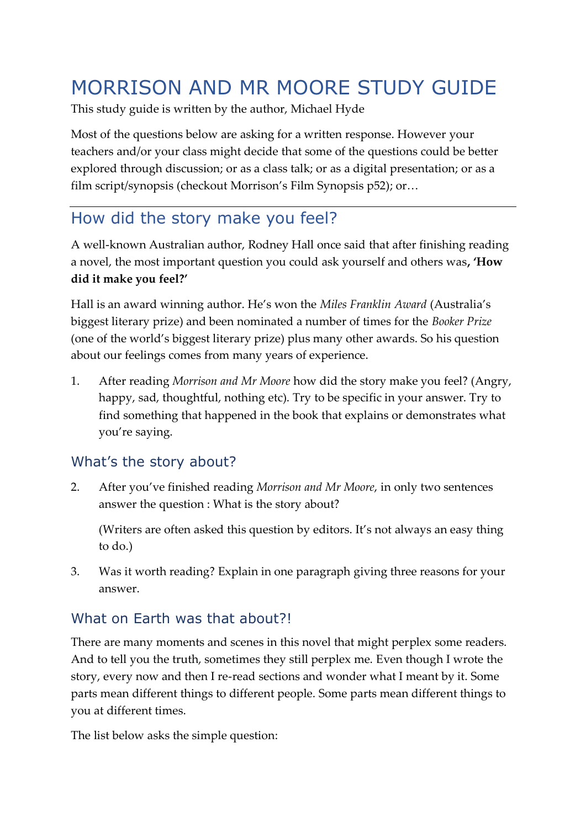# MORRISON AND MR MOORE STUDY GUIDE

This study guide is written by the author, Michael Hyde

Most of the questions below are asking for a written response. However your teachers and/or your class might decide that some of the questions could be better explored through discussion; or as a class talk; or as a digital presentation; or as a film script/synopsis (checkout Morrison's Film Synopsis p52); or…

# How did the story make you feel?

A well-known Australian author, Rodney Hall once said that after finishing reading a novel, the most important question you could ask yourself and others was**, 'How did it make you feel?'**

Hall is an award winning author. He's won the *Miles Franklin Award* (Australia's biggest literary prize) and been nominated a number of times for the *Booker Prize* (one of the world's biggest literary prize) plus many other awards. So his question about our feelings comes from many years of experience.

1. After reading *Morrison and Mr Moore* how did the story make you feel? (Angry, happy, sad, thoughtful, nothing etc). Try to be specific in your answer. Try to find something that happened in the book that explains or demonstrates what you're saying.

#### What's the story about?

2. After you've finished reading *Morrison and Mr Moore*, in only two sentences answer the question : What is the story about?

(Writers are often asked this question by editors. It's not always an easy thing to do.)

3. Was it worth reading? Explain in one paragraph giving three reasons for your answer.

#### What on Farth was that about?

There are many moments and scenes in this novel that might perplex some readers. And to tell you the truth, sometimes they still perplex me. Even though I wrote the story, every now and then I re-read sections and wonder what I meant by it. Some parts mean different things to different people. Some parts mean different things to you at different times.

The list below asks the simple question: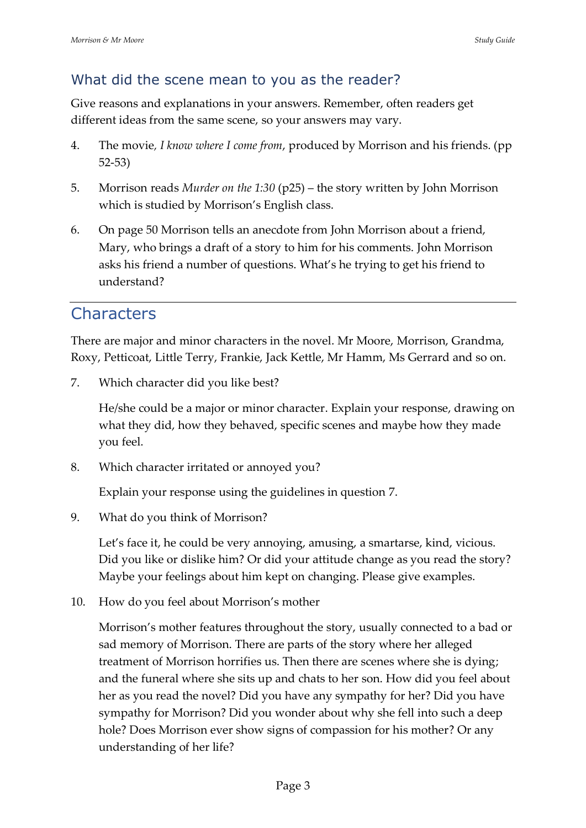#### What did the scene mean to you as the reader?

Give reasons and explanations in your answers. Remember, often readers get different ideas from the same scene, so your answers may vary.

- 4. The movie*, I know where I come from*, produced by Morrison and his friends. (pp 52-53)
- 5. Morrison reads *Murder on the 1:30* (p25) the story written by John Morrison which is studied by Morrison's English class.
- 6. On page 50 Morrison tells an anecdote from John Morrison about a friend, Mary, who brings a draft of a story to him for his comments. John Morrison asks his friend a number of questions. What's he trying to get his friend to understand?

## **Characters**

There are major and minor characters in the novel. Mr Moore, Morrison, Grandma, Roxy, Petticoat, Little Terry, Frankie, Jack Kettle, Mr Hamm, Ms Gerrard and so on.

7. Which character did you like best?

He/she could be a major or minor character. Explain your response, drawing on what they did, how they behaved, specific scenes and maybe how they made you feel.

8. Which character irritated or annoyed you?

Explain your response using the guidelines in question 7.

9. What do you think of Morrison?

Let's face it, he could be very annoying, amusing, a smartarse, kind, vicious. Did you like or dislike him? Or did your attitude change as you read the story? Maybe your feelings about him kept on changing. Please give examples.

10. How do you feel about Morrison's mother

Morrison's mother features throughout the story, usually connected to a bad or sad memory of Morrison. There are parts of the story where her alleged treatment of Morrison horrifies us. Then there are scenes where she is dying; and the funeral where she sits up and chats to her son. How did you feel about her as you read the novel? Did you have any sympathy for her? Did you have sympathy for Morrison? Did you wonder about why she fell into such a deep hole? Does Morrison ever show signs of compassion for his mother? Or any understanding of her life?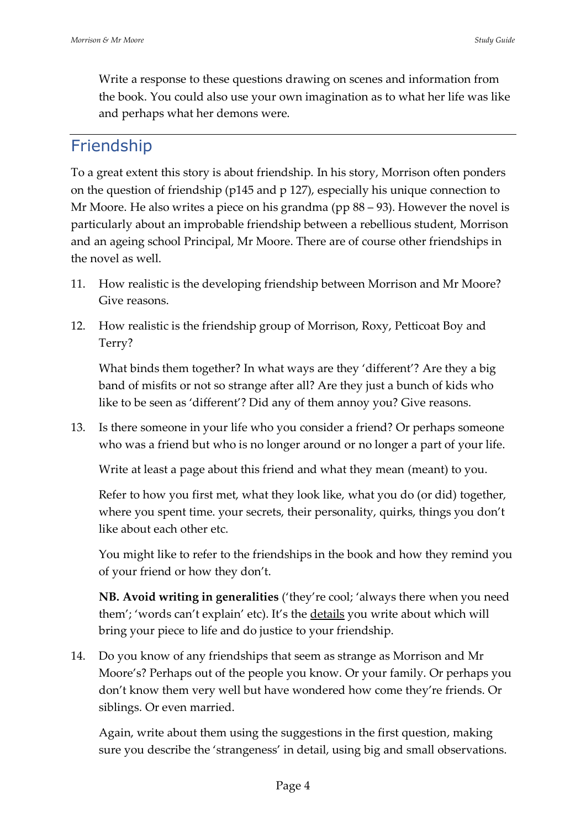Write a response to these questions drawing on scenes and information from the book. You could also use your own imagination as to what her life was like and perhaps what her demons were.

# Friendship

To a great extent this story is about friendship. In his story, Morrison often ponders on the question of friendship (p145 and p 127), especially his unique connection to Mr Moore. He also writes a piece on his grandma (pp 88 – 93). However the novel is particularly about an improbable friendship between a rebellious student, Morrison and an ageing school Principal, Mr Moore. There are of course other friendships in the novel as well.

- 11. How realistic is the developing friendship between Morrison and Mr Moore? Give reasons.
- 12. How realistic is the friendship group of Morrison, Roxy, Petticoat Boy and Terry?

What binds them together? In what ways are they 'different'? Are they a big band of misfits or not so strange after all? Are they just a bunch of kids who like to be seen as 'different'? Did any of them annoy you? Give reasons.

13. Is there someone in your life who you consider a friend? Or perhaps someone who was a friend but who is no longer around or no longer a part of your life.

Write at least a page about this friend and what they mean (meant) to you.

Refer to how you first met, what they look like, what you do (or did) together, where you spent time. your secrets, their personality, quirks, things you don't like about each other etc.

You might like to refer to the friendships in the book and how they remind you of your friend or how they don't.

**NB. Avoid writing in generalities** ('they're cool; 'always there when you need them'; 'words can't explain' etc). It's the details you write about which will bring your piece to life and do justice to your friendship.

14. Do you know of any friendships that seem as strange as Morrison and Mr Moore's? Perhaps out of the people you know. Or your family. Or perhaps you don't know them very well but have wondered how come they're friends. Or siblings. Or even married.

Again, write about them using the suggestions in the first question, making sure you describe the 'strangeness' in detail, using big and small observations.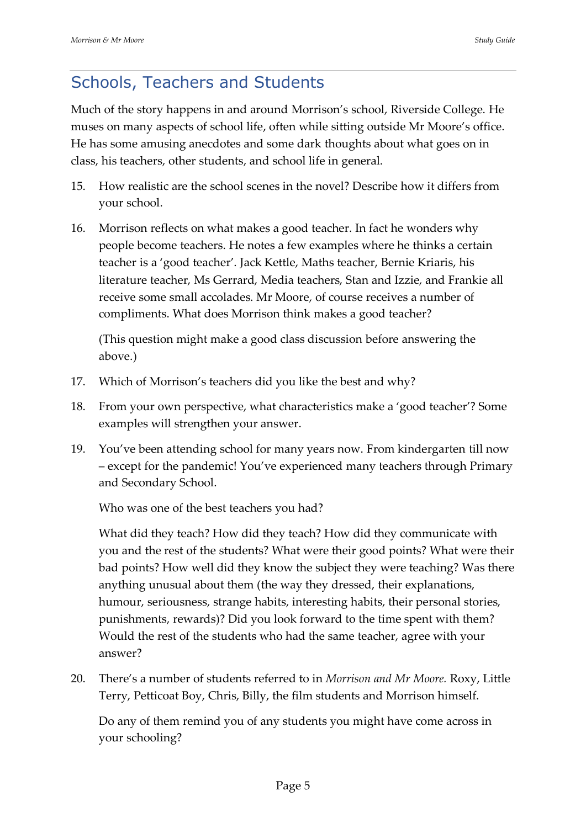# Schools, Teachers and Students

Much of the story happens in and around Morrison's school, Riverside College. He muses on many aspects of school life, often while sitting outside Mr Moore's office. He has some amusing anecdotes and some dark thoughts about what goes on in class, his teachers, other students, and school life in general.

- 15. How realistic are the school scenes in the novel? Describe how it differs from your school.
- 16. Morrison reflects on what makes a good teacher. In fact he wonders why people become teachers. He notes a few examples where he thinks a certain teacher is a 'good teacher'. Jack Kettle, Maths teacher, Bernie Kriaris, his literature teacher, Ms Gerrard, Media teachers, Stan and Izzie, and Frankie all receive some small accolades. Mr Moore, of course receives a number of compliments. What does Morrison think makes a good teacher?

(This question might make a good class discussion before answering the above.)

- 17. Which of Morrison's teachers did you like the best and why?
- 18. From your own perspective, what characteristics make a 'good teacher'? Some examples will strengthen your answer.
- 19. You've been attending school for many years now. From kindergarten till now – except for the pandemic! You've experienced many teachers through Primary and Secondary School.

Who was one of the best teachers you had?

What did they teach? How did they teach? How did they communicate with you and the rest of the students? What were their good points? What were their bad points? How well did they know the subject they were teaching? Was there anything unusual about them (the way they dressed, their explanations, humour, seriousness, strange habits, interesting habits, their personal stories, punishments, rewards)? Did you look forward to the time spent with them? Would the rest of the students who had the same teacher, agree with your answer?

20. There's a number of students referred to in *Morrison and Mr Moore.* Roxy, Little Terry, Petticoat Boy, Chris, Billy, the film students and Morrison himself.

Do any of them remind you of any students you might have come across in your schooling?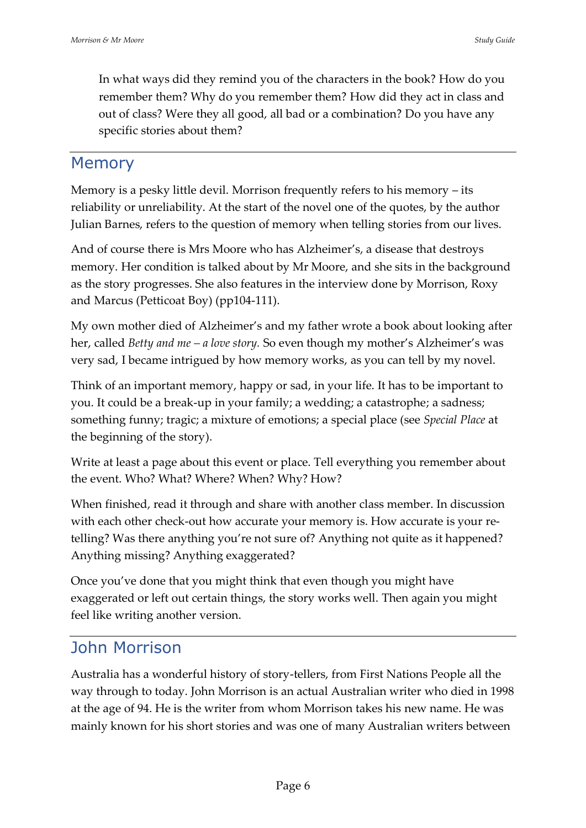In what ways did they remind you of the characters in the book? How do you remember them? Why do you remember them? How did they act in class and out of class? Were they all good, all bad or a combination? Do you have any specific stories about them?

#### Memory

Memory is a pesky little devil. Morrison frequently refers to his memory – its reliability or unreliability. At the start of the novel one of the quotes, by the author Julian Barnes, refers to the question of memory when telling stories from our lives.

And of course there is Mrs Moore who has Alzheimer's, a disease that destroys memory. Her condition is talked about by Mr Moore, and she sits in the background as the story progresses. She also features in the interview done by Morrison, Roxy and Marcus (Petticoat Boy) (pp104-111).

My own mother died of Alzheimer's and my father wrote a book about looking after her, called *Betty and me – a love story.* So even though my mother's Alzheimer's was very sad, I became intrigued by how memory works, as you can tell by my novel.

Think of an important memory, happy or sad, in your life. It has to be important to you. It could be a break-up in your family; a wedding; a catastrophe; a sadness; something funny; tragic; a mixture of emotions; a special place (see *Special Place* at the beginning of the story).

Write at least a page about this event or place. Tell everything you remember about the event. Who? What? Where? When? Why? How?

When finished, read it through and share with another class member. In discussion with each other check-out how accurate your memory is. How accurate is your retelling? Was there anything you're not sure of? Anything not quite as it happened? Anything missing? Anything exaggerated?

Once you've done that you might think that even though you might have exaggerated or left out certain things, the story works well. Then again you might feel like writing another version.

# John Morrison

Australia has a wonderful history of story-tellers, from First Nations People all the way through to today. John Morrison is an actual Australian writer who died in 1998 at the age of 94. He is the writer from whom Morrison takes his new name. He was mainly known for his short stories and was one of many Australian writers between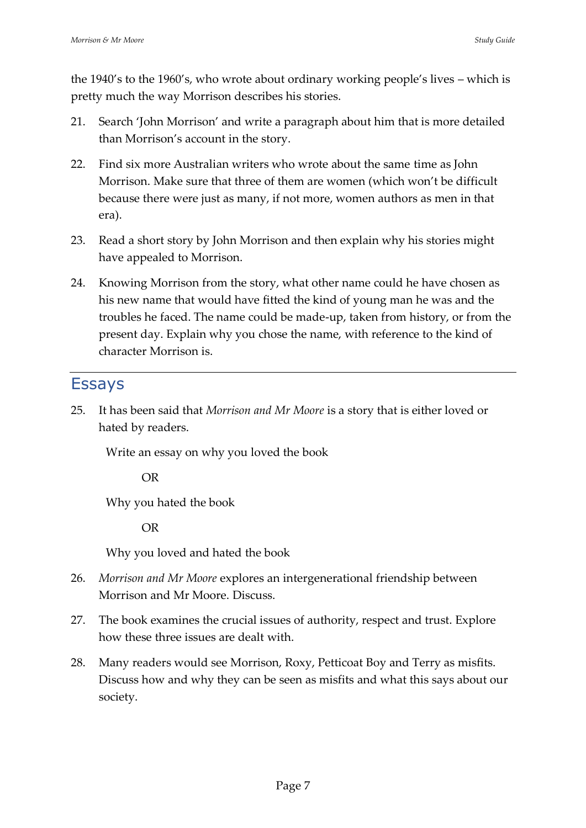the 1940's to the 1960's, who wrote about ordinary working people's lives – which is pretty much the way Morrison describes his stories.

- 21. Search 'John Morrison' and write a paragraph about him that is more detailed than Morrison's account in the story.
- 22. Find six more Australian writers who wrote about the same time as John Morrison. Make sure that three of them are women (which won't be difficult because there were just as many, if not more, women authors as men in that era).
- 23. Read a short story by John Morrison and then explain why his stories might have appealed to Morrison.
- 24. Knowing Morrison from the story, what other name could he have chosen as his new name that would have fitted the kind of young man he was and the troubles he faced. The name could be made-up, taken from history, or from the present day. Explain why you chose the name, with reference to the kind of character Morrison is.

#### Essays

25. It has been said that *Morrison and Mr Moore* is a story that is either loved or hated by readers.

Write an essay on why you loved the book

OR

Why you hated the book

OR

Why you loved and hated the book

- 26. *Morrison and Mr Moore* explores an intergenerational friendship between Morrison and Mr Moore. Discuss.
- 27. The book examines the crucial issues of authority, respect and trust. Explore how these three issues are dealt with.
- 28. Many readers would see Morrison, Roxy, Petticoat Boy and Terry as misfits. Discuss how and why they can be seen as misfits and what this says about our society.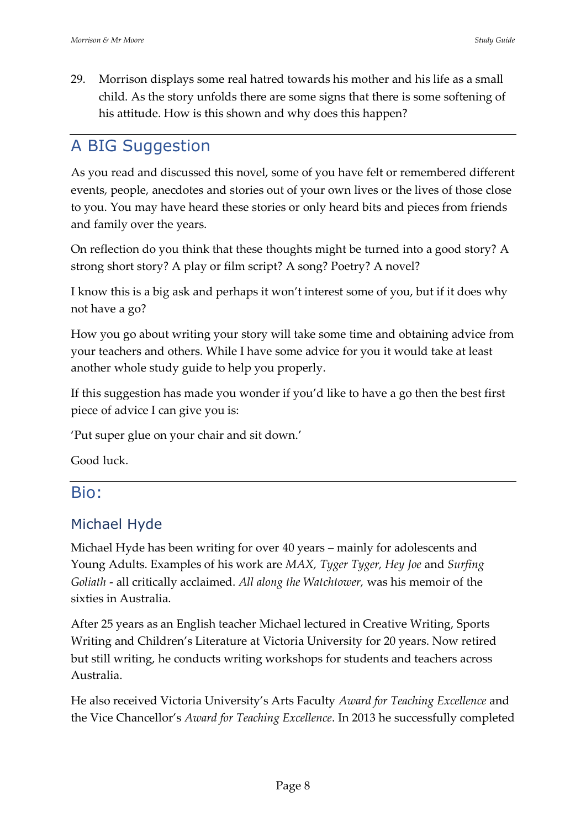29. Morrison displays some real hatred towards his mother and his life as a small child. As the story unfolds there are some signs that there is some softening of his attitude. How is this shown and why does this happen?

### A BIG Suggestion

As you read and discussed this novel, some of you have felt or remembered different events, people, anecdotes and stories out of your own lives or the lives of those close to you. You may have heard these stories or only heard bits and pieces from friends and family over the years.

On reflection do you think that these thoughts might be turned into a good story? A strong short story? A play or film script? A song? Poetry? A novel?

I know this is a big ask and perhaps it won't interest some of you, but if it does why not have a go?

How you go about writing your story will take some time and obtaining advice from your teachers and others. While I have some advice for you it would take at least another whole study guide to help you properly.

If this suggestion has made you wonder if you'd like to have a go then the best first piece of advice I can give you is:

'Put super glue on your chair and sit down.'

Good luck.

#### Bio:

#### Michael Hyde

Michael Hyde has been writing for over 40 years – mainly for adolescents and Young Adults. Examples of his work are *MAX, Tyger Tyger, Hey Joe* and *Surfing Goliath* - all critically acclaimed. *All along the Watchtower,* was his memoir of the sixties in Australia.

After 25 years as an English teacher Michael lectured in Creative Writing, Sports Writing and Children's Literature at Victoria University for 20 years. Now retired but still writing, he conducts writing workshops for students and teachers across Australia.

He also received Victoria University's Arts Faculty *Award for Teaching Excellence* and the Vice Chancellor's *Award for Teaching Excellence*. In 2013 he successfully completed